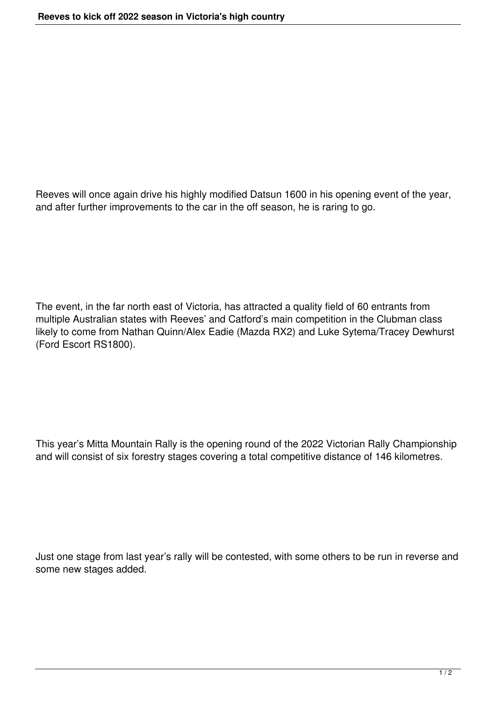Reeves will once again drive his highly modified Datsun 1600 in his opening event of the year, and after further improvements to the car in the off season, he is raring to go.

The event, in the far north east of Victoria, has attracted a quality field of 60 entrants from multiple Australian states with Reeves' and Catford's main competition in the Clubman class likely to come from Nathan Quinn/Alex Eadie (Mazda RX2) and Luke Sytema/Tracey Dewhurst (Ford Escort RS1800).

This year's Mitta Mountain Rally is the opening round of the 2022 Victorian Rally Championship and will consist of six forestry stages covering a total competitive distance of 146 kilometres.

Just one stage from last year's rally will be contested, with some others to be run in reverse and some new stages added.